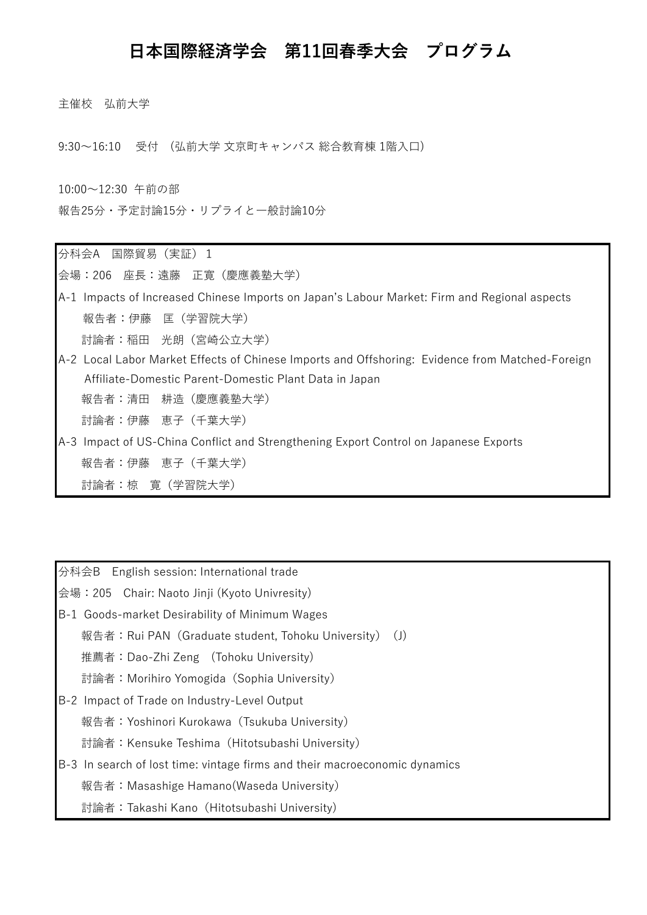## **日本国際経済学会 第11回春季大会 プログラム**

主催校 弘前大学

9:30~16:10 受付 (弘前大学 文京町キャンパス 総合教育棟 1階入口)

10:00~12:30 午前の部 報告25分・予定討論15分・リプライと一般討論10分

分科会A 国際貿易(実証)1

会場:206 座長:遠藤 正寛(慶應義塾大学)

A-1 Impacts of Increased Chinese Imports on Japan's Labour Market: Firm and Regional aspects 報告者:伊藤 匡(学習院大学)

討論者:稲田 光朗(宮崎公立大学)

- A-2 Local Labor Market Effects of Chinese Imports and Offshoring: Evidence from Matched-Foreign Affiliate-Domestic Parent-Domestic Plant Data in Japan 報告者:清田 耕造(慶應義塾大学) 討論者:伊藤 恵子(千葉大学)
- A-3 Impact of US-China Conflict and Strengthening Export Control on Japanese Exports 報告者:伊藤 恵子(千葉大学) 討論者:椋 寛(学習院大学)

分科会B English session: International trade

会場:205 Chair: Naoto Jinji (Kyoto Univresity)

- B-1 Goods-market Desirability of Minimum Wages
	- 報告者: Rui PAN (Graduate student, Tohoku University) (J)

推薦者:Dao-Zhi Zeng (Tohoku University)

討論者:Morihiro Yomogida(Sophia University)

B-2 Impact of Trade on Industry-Level Output

報告者:Yoshinori Kurokawa(Tsukuba University)

討論者:Kensuke Teshima(Hitotsubashi University)

B-3 In search of lost time: vintage firms and their macroeconomic dynamics

報告者:Masashige Hamano(Waseda University)

討論者:Takashi Kano(Hitotsubashi University)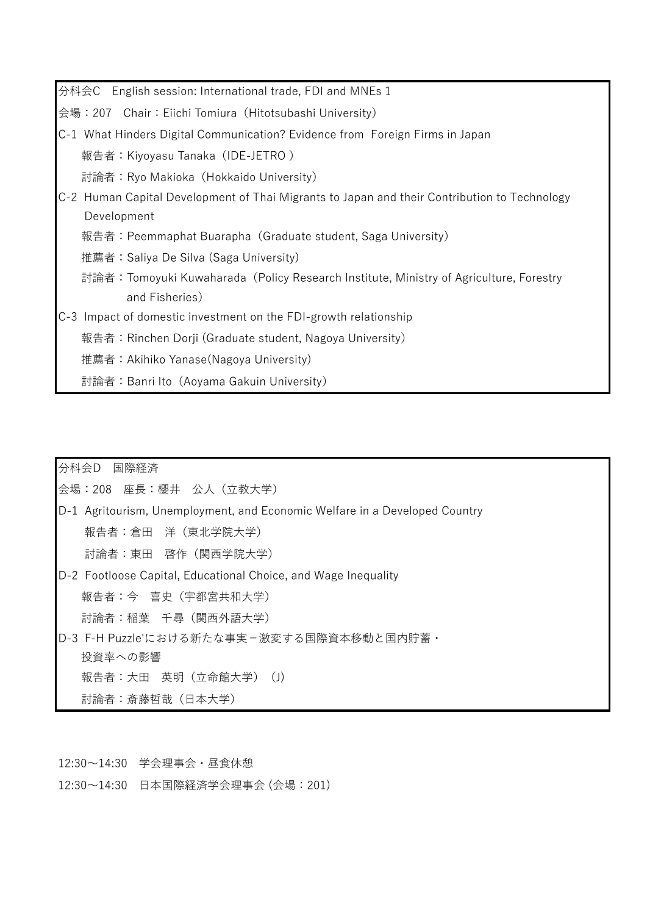分科会C English session: International trade, FDI and MNEs 1

会場:207 Chair:Eiichi Tomiura(Hitotsubashi University)

C-1 What Hinders Digital Communication? Evidence from Foreign Firms in Japan 報告者:Kiyoyasu Tanaka(IDE-JETRO )

討論者:Ryo Makioka(Hokkaido University)

- C-2 Human Capital Development of Thai Migrants to Japan and their Contribution to Technology Development
	- 報告者:Peemmaphat Buarapha(Graduate student, Saga University)
	- 推薦者:Saliya De Silva (Saga University)
	- 討論者:Tomoyuki Kuwaharada(Policy Research Institute, Ministry of Agriculture, Forestry and Fisheries)
- C-3 Impact of domestic investment on the FDI-growth relationship
	- 報告者:Rinchen Dorji (Graduate student, Nagoya University)
	- 推薦者:Akihiko Yanase(Nagoya University)
	- 討論者:Banri Ito(Aoyama Gakuin University)

分科会D 国際経済

会場:208 座長:櫻井 公人(立教大学)

D-1 Agritourism, Unemployment, and Economic Welfare in a Developed Country 報告者:倉田 洋(東北学院大学) 討論者:東田 啓作(関西学院大学) D-2 Footloose Capital, Educational Choice, and Wage Inequality

報告者:今 喜史(宇都宮共和大学)

討論者:稲葉 千尋(関西外語大学)

D-3 F-H Puzzle'における新たな事実-激変する国際資本移動と国内貯蓄・ 投資率への影響 報告者: 大田 英明 (立命館大学) (J) 討論者:斎藤哲哉(日本大学)

12:30~14:30 学会理事会・昼食休憩

12:30~14:30 日本国際経済学会理事会 (会場:201)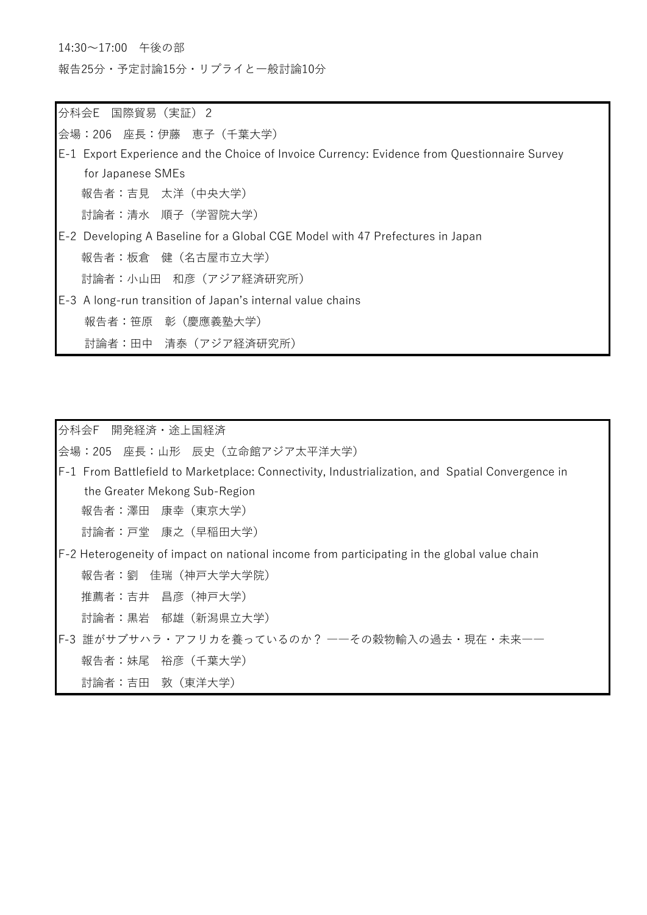14:30~17:00 午後の部

報告25分・予定討論15分・リプライと一般討論10分

分科会E 国際貿易(実証)2

会場:206 座長:伊藤 恵子(千葉大学)

- E-1 Export Experience and the Choice of Invoice Currency: Evidence from Questionnaire Survey for Japanese SMEs 報告者:吉見 太洋(中央大学) 討論者:清水 順子(学習院大学)
- E-2 Developing A Baseline for a Global CGE Model with 47 Prefectures in Japan 報告者:板倉 健(名古屋市立大学) 討論者:小山田 和彦(アジア経済研究所)
- E-3 A long-run transition of Japan's internal value chains 報告者:笹原 彰(慶應義塾大学) 討論者:田中 清泰(アジア経済研究所)

分科会F 開発経済・途上国経済

会場:205 座長:山形 辰史(立命館アジア太平洋大学)

F-1 From Battlefield to Marketplace: Connectivity, Industrialization, and Spatial Convergence in the Greater Mekong Sub-Region 報告者:澤田 康幸(東京大学)

討論者:戸堂 康之(早稲田大学)

F-2 Heterogeneity of impact on national income from participating in the global value chain

報告者:劉 佳瑞(神戸大学大学院)

推薦者:吉井 昌彦(神戸大学)

討論者:黒岩 郁雄(新潟県立大学)

F-3 誰がサブサハラ・アフリカを養っているのか? ――その穀物輸入の過去・現在・未来―― 報告者:妹尾 裕彦(千葉大学)

討論者:吉田 敦(東洋大学)